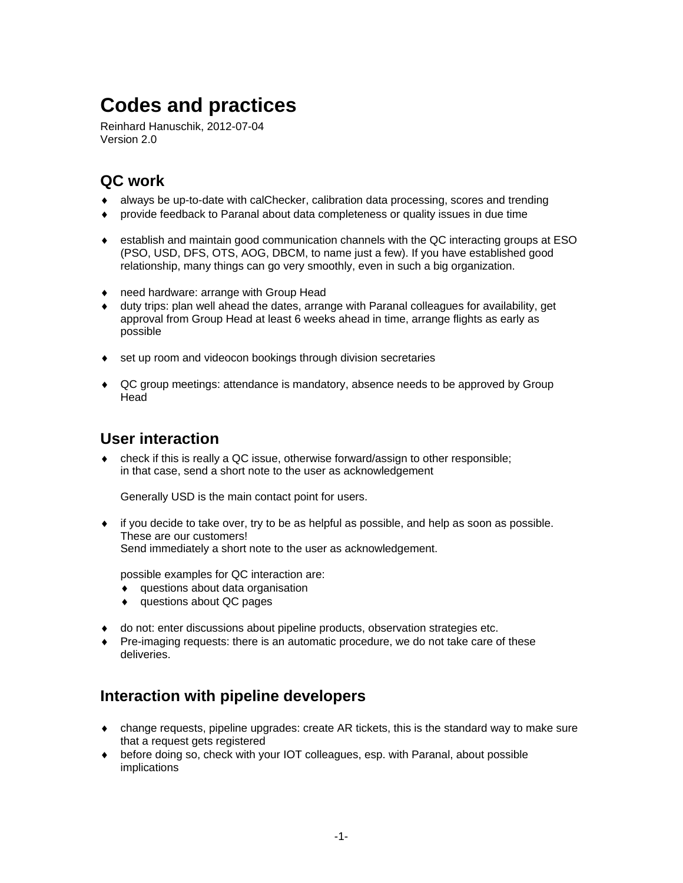# **Codes and practices**

Reinhard Hanuschik, 2012-07-04 Version 2.0

### **QC work**

- ♦ always be up-to-date with calChecker, calibration data processing, scores and trending
- ♦ provide feedback to Paranal about data completeness or quality issues in due time
- ♦ establish and maintain good communication channels with the QC interacting groups at ESO (PSO, USD, DFS, OTS, AOG, DBCM, to name just a few). If you have established good relationship, many things can go very smoothly, even in such a big organization.
- ♦ need hardware: arrange with Group Head
- ♦ duty trips: plan well ahead the dates, arrange with Paranal colleagues for availability, get approval from Group Head at least 6 weeks ahead in time, arrange flights as early as possible
- ♦ set up room and videocon bookings through division secretaries
- ♦ QC group meetings: attendance is mandatory, absence needs to be approved by Group Head

#### **User interaction**

 $\bullet$  check if this is really a QC issue, otherwise forward/assign to other responsible; in that case, send a short note to the user as acknowledgement

Generally USD is the main contact point for users.

 $\bullet$  if you decide to take over, try to be as helpful as possible, and help as soon as possible. These are our customers! Send immediately a short note to the user as acknowledgement.

possible examples for QC interaction are:

- ♦ questions about data organisation
- ♦ questions about QC pages
- ♦ do not: enter discussions about pipeline products, observation strategies etc.
- ♦ Pre-imaging requests: there is an automatic procedure, we do not take care of these deliveries.

#### **Interaction with pipeline developers**

- ♦ change requests, pipeline upgrades: create AR tickets, this is the standard way to make sure that a request gets registered
- ♦ before doing so, check with your IOT colleagues, esp. with Paranal, about possible implications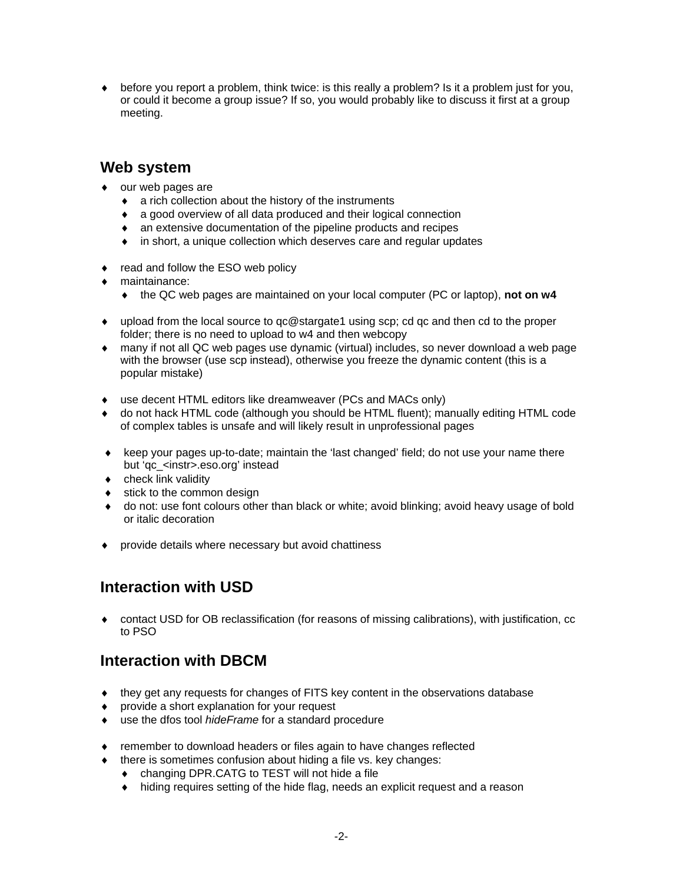♦ before you report a problem, think twice: is this really a problem? Is it a problem just for you, or could it become a group issue? If so, you would probably like to discuss it first at a group meeting.

#### **Web system**

- ♦ our web pages are
	- ♦ a rich collection about the history of the instruments
	- ♦ a good overview of all data produced and their logical connection
	- ♦ an extensive documentation of the pipeline products and recipes
	- ♦ in short, a unique collection which deserves care and regular updates
- ♦ read and follow the ESO web policy
- maintainance:
	- ♦ the QC web pages are maintained on your local computer (PC or laptop), **not on w4**
- ♦ upload from the local source to qc@stargate1 using scp; cd qc and then cd to the proper folder; there is no need to upload to w4 and then webcopy
- ♦ many if not all QC web pages use dynamic (virtual) includes, so never download a web page with the browser (use scp instead), otherwise you freeze the dynamic content (this is a popular mistake)
- ♦ use decent HTML editors like dreamweaver (PCs and MACs only)
- ♦ do not hack HTML code (although you should be HTML fluent); manually editing HTML code of complex tables is unsafe and will likely result in unprofessional pages
- ♦ keep your pages up-to-date; maintain the 'last changed' field; do not use your name there but 'qc\_<instr>.eso.org' instead
- ♦ check link validity
- $\bullet$  stick to the common design
- do not: use font colours other than black or white; avoid blinking; avoid heavy usage of bold or italic decoration
- ♦ provide details where necessary but avoid chattiness

## **Interaction with USD**

• contact USD for OB reclassification (for reasons of missing calibrations), with justification, cc to PSO

#### **Interaction with DBCM**

- ♦ they get any requests for changes of FITS key content in the observations database
- ♦ provide a short explanation for your request
- ♦ use the dfos tool *hideFrame* for a standard procedure
- ♦ remember to download headers or files again to have changes reflected
- ♦ there is sometimes confusion about hiding a file vs. key changes:
	- ♦ changing DPR.CATG to TEST will not hide a file
	- ♦ hiding requires setting of the hide flag, needs an explicit request and a reason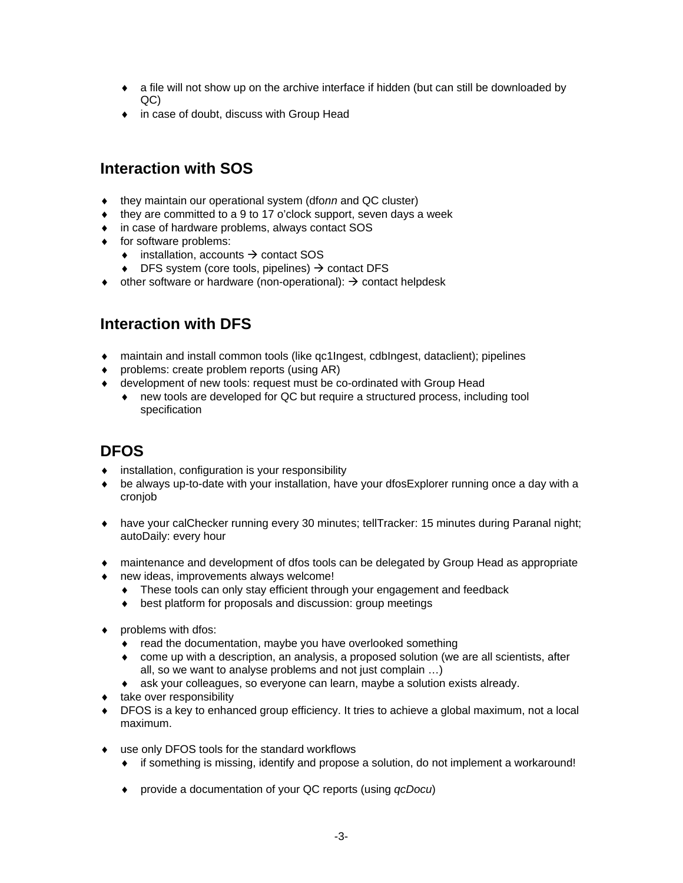- ♦ a file will not show up on the archive interface if hidden (but can still be downloaded by QC)
- ♦ in case of doubt, discuss with Group Head

#### **Interaction with SOS**

- ♦ they maintain our operational system (dfo*nn* and QC cluster)
- $\bullet$  they are committed to a 9 to 17 o'clock support, seven days a week
- ♦ in case of hardware problems, always contact SOS
- ♦ for software problems:
	- $\bullet$  installation, accounts  $\rightarrow$  contact SOS
	- $\bullet$  DFS system (core tools, pipelines)  $\rightarrow$  contact DFS
- $\bullet$  other software or hardware (non-operational):  $\rightarrow$  contact helpdesk

#### **Interaction with DFS**

- ♦ maintain and install common tools (like qc1Ingest, cdbIngest, dataclient); pipelines
- ♦ problems: create problem reports (using AR)
- ♦ development of new tools: request must be co-ordinated with Group Head
	- ♦ new tools are developed for QC but require a structured process, including tool specification

#### **DFOS**

- ♦ installation, configuration is your responsibility
- ♦ be always up-to-date with your installation, have your dfosExplorer running once a day with a cronjob
- ♦ have your calChecker running every 30 minutes; tellTracker: 15 minutes during Paranal night; autoDaily: every hour
- ♦ maintenance and development of dfos tools can be delegated by Group Head as appropriate
- ♦ new ideas, improvements always welcome!
	- ♦ These tools can only stay efficient through your engagement and feedback
	- ♦ best platform for proposals and discussion: group meetings
- ♦ problems with dfos:
	- ♦ read the documentation, maybe you have overlooked something
	- ♦ come up with a description, an analysis, a proposed solution (we are all scientists, after all, so we want to analyse problems and not just complain …)
	- ♦ ask your colleagues, so everyone can learn, maybe a solution exists already.
- ♦ take over responsibility
- ♦ DFOS is a key to enhanced group efficiency. It tries to achieve a global maximum, not a local maximum.
- ♦ use only DFOS tools for the standard workflows
	- ♦ if something is missing, identify and propose a solution, do not implement a workaround!
	- ♦ provide a documentation of your QC reports (using *qcDocu*)